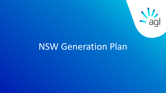

# NSW Generation Plan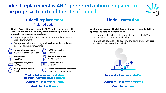# Liddell replacement is AGL's preferred option compared to the proposal to extend the life of Liddell



### **Liddell replacement**

### Preferred option

#### **Liddell Power Station closed in 2022 and repurposed with series of investments in new, low emissions generation and upgrades to existing generation**

- Staged approach to bring new investment online ahead of Liddell retirement
- Each phase will track timing, deliverables and completion dates of each new investment



**Newcastle gas peaker** 250MW or other NSW sites



**Bayswater upgrade**  100MW

**NSW pumped hydro** Feasibility

**NSW gas peaker** 500MW



**Liddell battery** 250MW

**Liddell synchronous condenser**  Inertia and reactive power

Total capital investment: ~\$1,360m (of which  $\sim$  \$490m in stage 1 projects) Levelised cost of energy: \$83/MWh

**Asset life: 15 to 30 years** 

### Liddell extension

#### **Work undertaken at Liddell Power Station to enable AGL to operate the station beyond 2022**

- Extending Liddell's life by five years to deliver 1000MW of peak capacity at reduced availability
- Analysis has been done to examine the costs and other risks associated with extending Liddell



Total capital investment: ~\$920m

Levelised cost of energy: \$106/MWh

**Asset life: five years**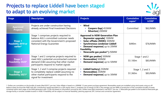# Projects to replace Liddell have been staged to adapt to an evolving market



| <b>Stage</b>                                                         | <b>Description</b>                                                                                                                                                             | <b>Projects</b>                                                                                                                                                                                                                                   | <b>Cumulative</b><br>capex <sup>1</sup> | <b>Cumulative</b><br>LCOE <sup>2</sup> |
|----------------------------------------------------------------------|--------------------------------------------------------------------------------------------------------------------------------------------------------------------------------|---------------------------------------------------------------------------------------------------------------------------------------------------------------------------------------------------------------------------------------------------|-----------------------------------------|----------------------------------------|
| <b>Approved</b><br><b>Projects</b>                                   | Projects are under construction having<br>already achieved Final Investment Decisions                                                                                          | • Wind<br><b>Coopers Gap</b> 453MW<br>Silverton  200MW                                                                                                                                                                                            | Committed                               | \$62/MWh                               |
| <b>Stage 1</b><br><b>Feasibility 2019 or</b><br>earlier <sup>4</sup> | Stage 1 comprises projects required to<br>balance AGL's committed customer needs<br>consistent with the Government's proposed<br>National Energy Guarantee                     | <b>Approved in NSW Generation Plan</b><br><b>Bayswater upgrade</b> 100MW<br>Solar offtake (NSW)  300MW<br>Synchronous condenser Liddell<br><b>Demand response</b> up to 20MW<br><b>Feasibility</b><br>• Newcastle gas peaker <sup>3</sup>   250MW | \$490m                                  | \$76/MWh                               |
| <b>Stage 2</b><br>Feasibility 2020 <sup>4</sup>                      | Stage 1 and 2 comprise projects required to<br>meet AGL's potential uncontracted customer<br>demand (C&I) assuming that other market<br>participants respond to market signals | <b>NSW gas peaker  500MW</b><br>Renewables  500MW<br>Demand response  up to 50MW                                                                                                                                                                  | Stage 1 and 2<br>\$1,100m               | \$83/MWh                               |
| <b>Stage 3</b><br>Feasibility 2021 <sup>4</sup>                      | Stage 1, 2 and 3 comprise projects required<br>to completely replace Liddell assuming no<br>other market participants respond to the<br>signal for investment                  | • Liddell battery  250MW<br>Renewables  250MW<br>Demand response  up to 30MW                                                                                                                                                                      | Stage 1, 2 and 3<br>\$1,360m            | \$83/MWh                               |

1. Dollars are cumulative on the bundle of assets (Real \$2017, pre-tax), Solar offtake is based on a 300MW, 15 year power purchase agreement, Renewables assets are modelled using wind assets using an offbalance sheet structure like PARF with AGL contributing capital equivalent to a 20% equity share 2. Levelised cost of energy (LCOE) is the average cost per MWh of production of the cumulative bundle of assets contained within each stage of the NSW generation plan. LCOEs are based on information sourced by AGL. Dollars have been presented in real \$2017, pre-tax. 3. Newcastle gas peaker to be located at Newcastle gas storage facility or another suitable location in NSW. 4.Feasibility will be subject to financial feasibility, planning approval, EPC contract and connection agreement.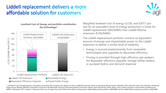# Liddell replacement delivers a more affordable solution for customers



**Levelised Cost of Energy and portfolio contribution (by technology)1**



Weighted levelised cost of energy (LCOE, real \$2017 pretax) for an equivalent level of energy production is lower for Liddell replacement (\$83/MWh) than Liddell lifetime extension (\$106/MWh)

The Liddell replacement portfolio contains an equivalent amount of energy and dispatchable power to the Liddell extension to deliver a similar level of reliability

- Energy is sourced predominantly from renewable technologies and upgrades to Bayswater efficiency
- Firming is provided through high-efficiency gas peakers, the Bayswater efficiency upgrade, storage (either battery or pumped hydro) and demand response

1. Levelised Cost of Energy based on information sourced by AGL including: the capital cost of the Liddell life extension works as advised by Worley Parsons (Advisian). AGL's discount rate in line with their commercial target returns. Westpac Banking Corporation's forecast of the Newcastle coal price discounted based on the lower calorific value required for power station coal. A carbon emissions cost has been included as per AEMO's "Moderate" 2015 scenario. 2. Removal of the cost of carbon from the LCOE has the effect of reducing the Liddell Replacement portfolio to \$82/MWh and the Liddell lifetime extension portfolio to \$92/MWh.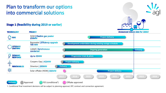### Plan to transform our options into commercial solutions

**Stage 1 (feasibility during 2019 or earlier)** 

**PROJECT** 

**TECHNOLOGY** 



**Project delivery** NSW | Flexible gas peaker<br>250MW **GAS Bayswater | Efficiency upgrade Component undertaken during existing outage schedule** and **Bayswater** Bay Development undertaken during existing outage schedule **UPGRADE EXISTING** Liddell | Synchronous **Commission** | Commission | Component | Component | Component | Component | Component | Component | Component | Component | Component | Component | Component | Component | Component | Component | Comp **Ongoing generation DEMAND Progressive trials & pilots** Up to 20MW **RESPONSE Coopers Gap | 453MW Project delivery RENEWABLES** Silverton | 200MW **Delivery** ₩ Solar offtake (NSW) 300MW **Project delivery 2017 2018 2019 2020 2021 2022 2023 2024 Delivery Approved** FID (conditional<sup>1</sup>) **C** Offtake approved Approved

1. Conditional final investment decisions will be subject to planning approval, EPC contract and connection agreement.